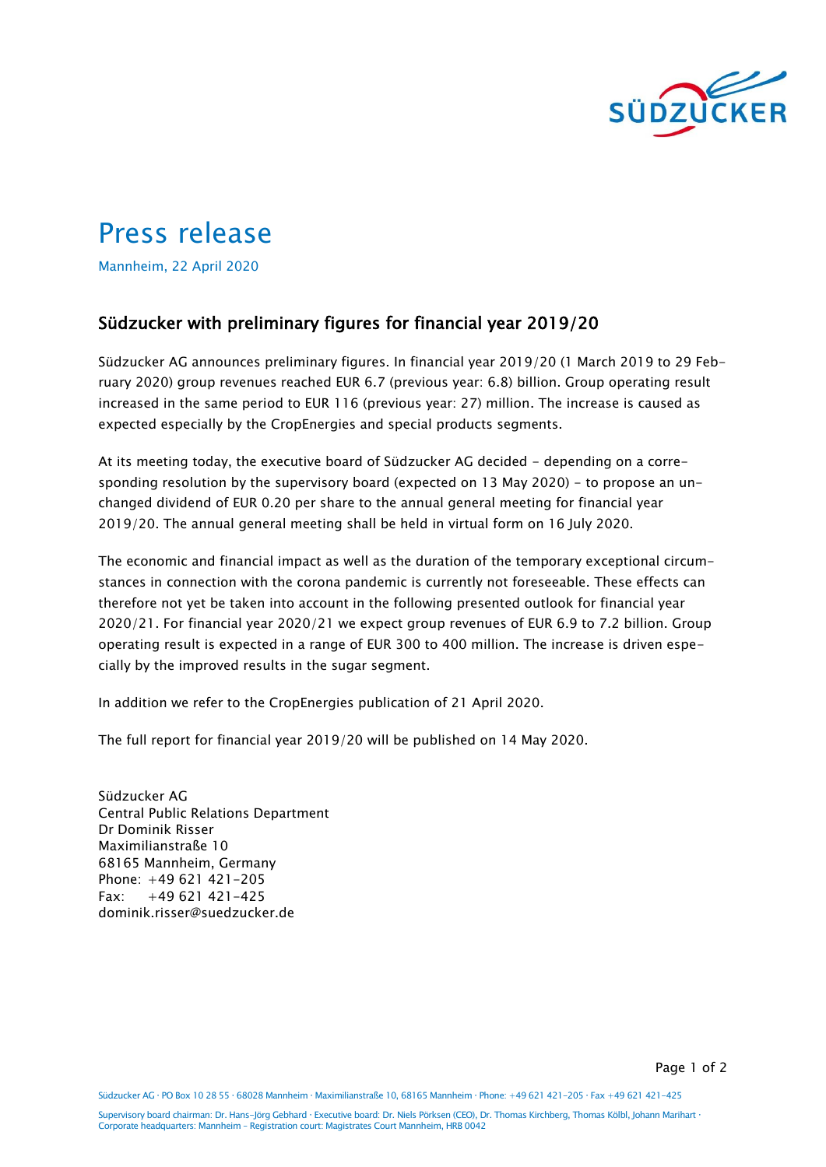

## Press release

Mannheim, 22 April 2020

## Südzucker with preliminary figures for financial year 2019/20

Südzucker AG announces preliminary figures. In financial year 2019/20 (1 March 2019 to 29 February 2020) group revenues reached EUR 6.7 (previous year: 6.8) billion. Group operating result increased in the same period to EUR 116 (previous year: 27) million. The increase is caused as expected especially by the CropEnergies and special products segments.

At its meeting today, the executive board of Südzucker AG decided - depending on a corresponding resolution by the supervisory board (expected on 13 May 2020) - to propose an unchanged dividend of EUR 0.20 per share to the annual general meeting for financial year 2019/20. The annual general meeting shall be held in virtual form on 16 July 2020.

The economic and financial impact as well as the duration of the temporary exceptional circumstances in connection with the corona pandemic is currently not foreseeable. These effects can therefore not yet be taken into account in the following presented outlook for financial year 2020/21. For financial year 2020/21 we expect group revenues of EUR 6.9 to 7.2 billion. Group operating result is expected in a range of EUR 300 to 400 million. The increase is driven especially by the improved results in the sugar segment.

In addition we refer to the CropEnergies publication of 21 April 2020.

The full report for financial year 2019/20 will be published on 14 May 2020.

Südzucker AG Central Public Relations Department Dr Dominik Risser Maximilianstraße 10 68165 Mannheim, Germany Phone: +49 621 421-205 Fax: +49 621 421-425 dominik.risser@suedzucker.de

Page 1 of 2

Südzucker AG PO Box 10 28 55 68028 Mannheim Maximilianstraße 10, 68165 Mannheim Phone: +49 621 421-205 Fax +49 621 421-425